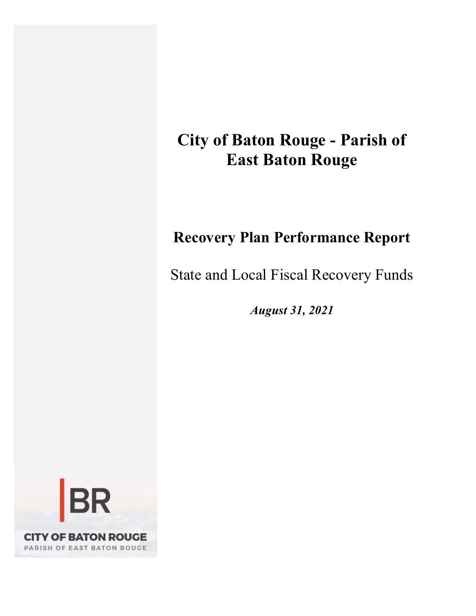# City of Baton Rouge - Parish of East Baton Rouge

# Recovery Plan Performance Report

State and Local Fiscal Recovery Funds

August 31, 2021

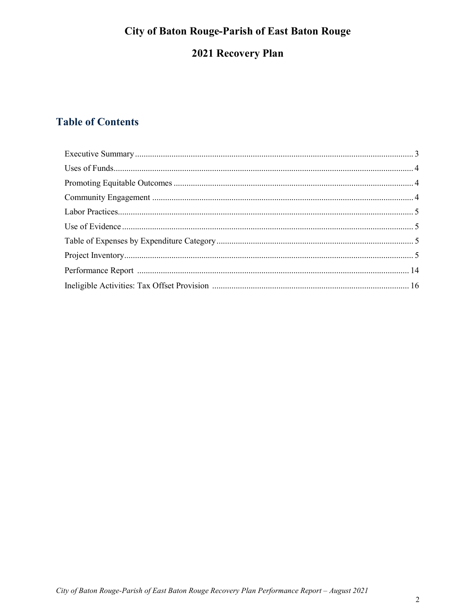# **City of Baton Rouge-Parish of East Baton Rouge**

# 2021 Recovery Plan

## **Table of Contents**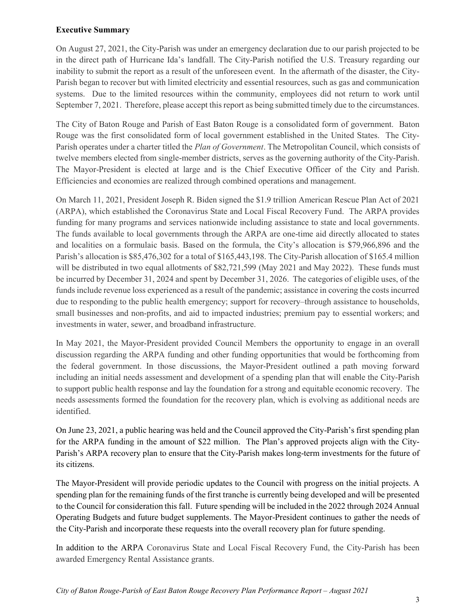### Executive Summary

On August 27, 2021, the City-Parish was under an emergency declaration due to our parish projected to be in the direct path of Hurricane Ida's landfall. The City-Parish notified the U.S. Treasury regarding our inability to submit the report as a result of the unforeseen event. In the aftermath of the disaster, the City-Parish began to recover but with limited electricity and essential resources, such as gas and communication systems. Due to the limited resources within the community, employees did not return to work until September 7, 2021. Therefore, please accept this report as being submitted timely due to the circumstances.

The City of Baton Rouge and Parish of East Baton Rouge is a consolidated form of government. Baton Rouge was the first consolidated form of local government established in the United States. The City-Parish operates under a charter titled the Plan of Government. The Metropolitan Council, which consists of twelve members elected from single-member districts, serves as the governing authority of the City-Parish. The Mayor-President is elected at large and is the Chief Executive Officer of the City and Parish. Efficiencies and economies are realized through combined operations and management.

On March 11, 2021, President Joseph R. Biden signed the \$1.9 trillion American Rescue Plan Act of 2021 (ARPA), which established the Coronavirus State and Local Fiscal Recovery Fund. The ARPA provides funding for many programs and services nationwide including assistance to state and local governments. The funds available to local governments through the ARPA are one-time aid directly allocated to states and localities on a formulaic basis. Based on the formula, the City's allocation is \$79,966,896 and the Parish's allocation is \$85,476,302 for a total of \$165,443,198. The City-Parish allocation of \$165.4 million will be distributed in two equal allotments of \$82,721,599 (May 2021 and May 2022). These funds must be incurred by December 31, 2024 and spent by December 31, 2026. The categories of eligible uses, of the funds include revenue loss experienced as a result of the pandemic; assistance in covering the costs incurred due to responding to the public health emergency; support for recovery–through assistance to households, small businesses and non-profits, and aid to impacted industries; premium pay to essential workers; and investments in water, sewer, and broadband infrastructure.

In May 2021, the Mayor-President provided Council Members the opportunity to engage in an overall discussion regarding the ARPA funding and other funding opportunities that would be forthcoming from the federal government. In those discussions, the Mayor-President outlined a path moving forward including an initial needs assessment and development of a spending plan that will enable the City-Parish to support public health response and lay the foundation for a strong and equitable economic recovery. The needs assessments formed the foundation for the recovery plan, which is evolving as additional needs are identified.

On June 23, 2021, a public hearing was held and the Council approved the City-Parish's first spending plan for the ARPA funding in the amount of \$22 million. The Plan's approved projects align with the City-Parish's ARPA recovery plan to ensure that the City-Parish makes long-term investments for the future of its citizens.

The Mayor-President will provide periodic updates to the Council with progress on the initial projects. A spending plan for the remaining funds of the first tranche is currently being developed and will be presented to the Council for consideration this fall. Future spending will be included in the 2022 through 2024 Annual Operating Budgets and future budget supplements. The Mayor-President continues to gather the needs of the City-Parish and incorporate these requests into the overall recovery plan for future spending.

In addition to the ARPA Coronavirus State and Local Fiscal Recovery Fund, the City-Parish has been awarded Emergency Rental Assistance grants.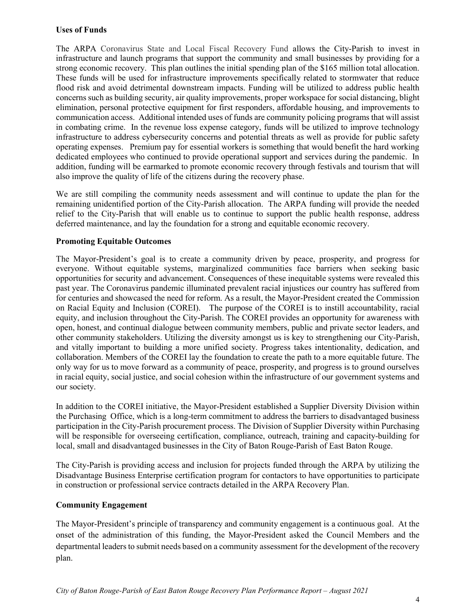### Uses of Funds

The ARPA Coronavirus State and Local Fiscal Recovery Fund allows the City-Parish to invest in infrastructure and launch programs that support the community and small businesses by providing for a strong economic recovery. This plan outlines the initial spending plan of the \$165 million total allocation. These funds will be used for infrastructure improvements specifically related to stormwater that reduce flood risk and avoid detrimental downstream impacts. Funding will be utilized to address public health concerns such as building security, air quality improvements, proper workspace for social distancing, blight elimination, personal protective equipment for first responders, affordable housing, and improvements to communication access. Additional intended uses of funds are community policing programs that will assist in combating crime. In the revenue loss expense category, funds will be utilized to improve technology infrastructure to address cybersecurity concerns and potential threats as well as provide for public safety operating expenses. Premium pay for essential workers is something that would benefit the hard working dedicated employees who continued to provide operational support and services during the pandemic. In addition, funding will be earmarked to promote economic recovery through festivals and tourism that will also improve the quality of life of the citizens during the recovery phase.

We are still compiling the community needs assessment and will continue to update the plan for the remaining unidentified portion of the City-Parish allocation. The ARPA funding will provide the needed relief to the City-Parish that will enable us to continue to support the public health response, address deferred maintenance, and lay the foundation for a strong and equitable economic recovery.

### Promoting Equitable Outcomes

The Mayor-President's goal is to create a community driven by peace, prosperity, and progress for everyone. Without equitable systems, marginalized communities face barriers when seeking basic opportunities for security and advancement. Consequences of these inequitable systems were revealed this past year. The Coronavirus pandemic illuminated prevalent racial injustices our country has suffered from for centuries and showcased the need for reform. As a result, the Mayor-President created the Commission on Racial Equity and Inclusion (COREI). The purpose of the COREI is to instill accountability, racial equity, and inclusion throughout the City-Parish. The COREI provides an opportunity for awareness with open, honest, and continual dialogue between community members, public and private sector leaders, and other community stakeholders. Utilizing the diversity amongst us is key to strengthening our City-Parish, and vitally important to building a more unified society. Progress takes intentionality, dedication, and collaboration. Members of the COREI lay the foundation to create the path to a more equitable future. The only way for us to move forward as a community of peace, prosperity, and progress is to ground ourselves in racial equity, social justice, and social cohesion within the infrastructure of our government systems and our society.

In addition to the COREI initiative, the Mayor-President established a Supplier Diversity Division within the Purchasing Office, which is a long-term commitment to address the barriers to disadvantaged business participation in the City-Parish procurement process. The Division of Supplier Diversity within Purchasing will be responsible for overseeing certification, compliance, outreach, training and capacity-building for local, small and disadvantaged businesses in the City of Baton Rouge-Parish of East Baton Rouge.

The City-Parish is providing access and inclusion for projects funded through the ARPA by utilizing the Disadvantage Business Enterprise certification program for contactors to have opportunities to participate in construction or professional service contracts detailed in the ARPA Recovery Plan.

### Community Engagement

The Mayor-President's principle of transparency and community engagement is a continuous goal. At the onset of the administration of this funding, the Mayor-President asked the Council Members and the departmental leaders to submit needs based on a community assessment for the development of the recovery plan.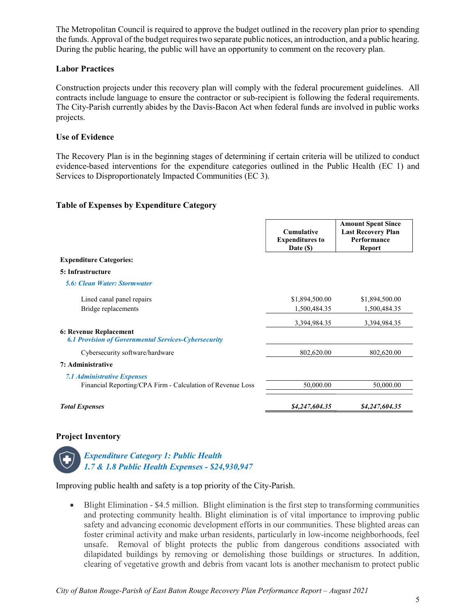The Metropolitan Council is required to approve the budget outlined in the recovery plan prior to spending the funds. Approval of the budget requires two separate public notices, an introduction, and a public hearing. During the public hearing, the public will have an opportunity to comment on the recovery plan.

### Labor Practices

Construction projects under this recovery plan will comply with the federal procurement guidelines. All contracts include language to ensure the contractor or sub-recipient is following the federal requirements. The City-Parish currently abides by the Davis-Bacon Act when federal funds are involved in public works projects.

### Use of Evidence

The Recovery Plan is in the beginning stages of determining if certain criteria will be utilized to conduct evidence-based interventions for the expenditure categories outlined in the Public Health (EC 1) and Services to Disproportionately Impacted Communities (EC 3).

### Table of Expenses by Expenditure Category

|                                                                                       | <b>Cumulative</b><br><b>Expenditures to</b><br>Date (\$) | <b>Amount Spent Since</b><br><b>Last Recovery Plan</b><br>Performance<br><b>Report</b> |
|---------------------------------------------------------------------------------------|----------------------------------------------------------|----------------------------------------------------------------------------------------|
| <b>Expenditure Categories:</b>                                                        |                                                          |                                                                                        |
| 5: Infrastructure                                                                     |                                                          |                                                                                        |
| <b>5.6: Clean Water: Stormwater</b>                                                   |                                                          |                                                                                        |
| Lined canal panel repairs                                                             | \$1,894,500.00                                           | \$1,894,500.00                                                                         |
| Bridge replacements                                                                   | 1,500,484.35                                             | 1,500,484.35                                                                           |
|                                                                                       | 3,394,984.35                                             | 3,394,984.35                                                                           |
| 6: Revenue Replacement<br><b>6.1 Provision of Governmental Services-Cybersecurity</b> |                                                          |                                                                                        |
| Cybersecurity software/hardware                                                       | 802,620.00                                               | 802,620.00                                                                             |
| 7: Administrative                                                                     |                                                          |                                                                                        |
| <b>7.1 Administrative Expenses</b>                                                    |                                                          |                                                                                        |
| Financial Reporting/CPA Firm - Calculation of Revenue Loss                            | 50,000.00                                                | 50,000.00                                                                              |
| <b>Total Expenses</b>                                                                 | \$4,247,604.35                                           | \$4,247,604.35                                                                         |
|                                                                                       |                                                          |                                                                                        |

### Project Inventory



Improving public health and safety is a top priority of the City-Parish.

• Blight Elimination - \$4.5 million. Blight elimination is the first step to transforming communities and protecting community health. Blight elimination is of vital importance to improving public safety and advancing economic development efforts in our communities. These blighted areas can foster criminal activity and make urban residents, particularly in low-income neighborhoods, feel unsafe. Removal of blight protects the public from dangerous conditions associated with dilapidated buildings by removing or demolishing those buildings or structures. In addition, clearing of vegetative growth and debris from vacant lots is another mechanism to protect public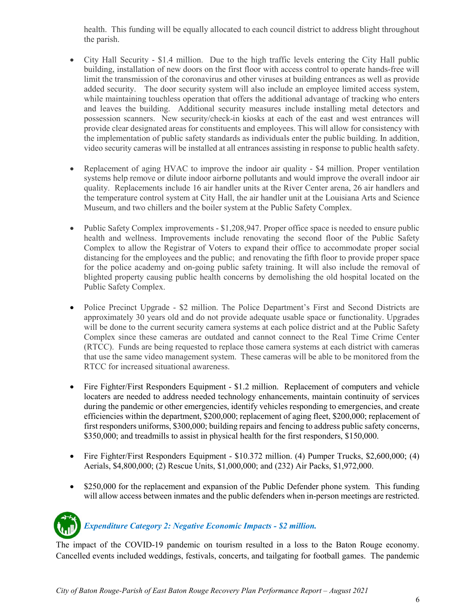health. This funding will be equally allocated to each council district to address blight throughout the parish.

- City Hall Security \$1.4 million. Due to the high traffic levels entering the City Hall public building, installation of new doors on the first floor with access control to operate hands-free will limit the transmission of the coronavirus and other viruses at building entrances as well as provide added security. The door security system will also include an employee limited access system, while maintaining touchless operation that offers the additional advantage of tracking who enters and leaves the building. Additional security measures include installing metal detectors and possession scanners. New security/check-in kiosks at each of the east and west entrances will provide clear designated areas for constituents and employees. This will allow for consistency with the implementation of public safety standards as individuals enter the public building. In addition, video security cameras will be installed at all entrances assisting in response to public health safety.
- Replacement of aging HVAC to improve the indoor air quality \$4 million. Proper ventilation systems help remove or dilute indoor airborne pollutants and would improve the overall indoor air quality. Replacements include 16 air handler units at the River Center arena, 26 air handlers and the temperature control system at City Hall, the air handler unit at the Louisiana Arts and Science Museum, and two chillers and the boiler system at the Public Safety Complex.
- Public Safety Complex improvements \$1,208,947. Proper office space is needed to ensure public health and wellness. Improvements include renovating the second floor of the Public Safety Complex to allow the Registrar of Voters to expand their office to accommodate proper social distancing for the employees and the public; and renovating the fifth floor to provide proper space for the police academy and on-going public safety training. It will also include the removal of blighted property causing public health concerns by demolishing the old hospital located on the Public Safety Complex.
- Police Precinct Upgrade \$2 million. The Police Department's First and Second Districts are approximately 30 years old and do not provide adequate usable space or functionality. Upgrades will be done to the current security camera systems at each police district and at the Public Safety Complex since these cameras are outdated and cannot connect to the Real Time Crime Center (RTCC). Funds are being requested to replace those camera systems at each district with cameras that use the same video management system. These cameras will be able to be monitored from the RTCC for increased situational awareness.
- Fire Fighter/First Responders Equipment \$1.2 million. Replacement of computers and vehicle locaters are needed to address needed technology enhancements, maintain continuity of services during the pandemic or other emergencies, identify vehicles responding to emergencies, and create efficiencies within the department, \$200,000; replacement of aging fleet, \$200,000; replacement of first responders uniforms, \$300,000; building repairs and fencing to address public safety concerns, \$350,000; and treadmills to assist in physical health for the first responders, \$150,000.
- Fire Fighter/First Responders Equipment \$10.372 million. (4) Pumper Trucks, \$2,600,000; (4) Aerials, \$4,800,000; (2) Rescue Units, \$1,000,000; and (232) Air Packs, \$1,972,000.
- \$250,000 for the replacement and expansion of the Public Defender phone system. This funding will allow access between inmates and the public defenders when in-person meetings are restricted.

# Expenditure Category 2: Negative Economic Impacts - \$2 million.

The impact of the COVID-19 pandemic on tourism resulted in a loss to the Baton Rouge economy. Cancelled events included weddings, festivals, concerts, and tailgating for football games. The pandemic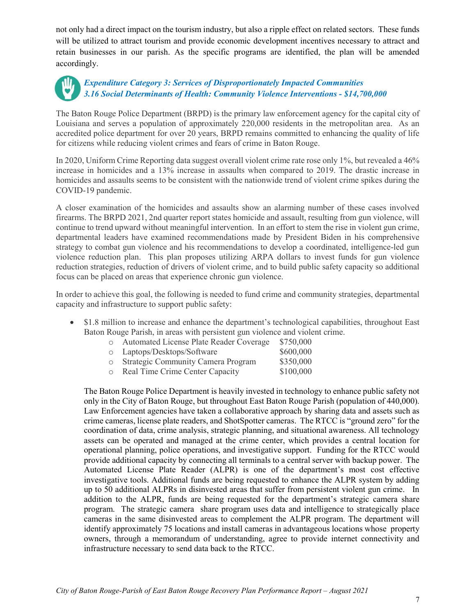not only had a direct impact on the tourism industry, but also a ripple effect on related sectors. These funds will be utilized to attract tourism and provide economic development incentives necessary to attract and retain businesses in our parish. As the specific programs are identified, the plan will be amended accordingly.

### Expenditure Category 3: Services of Disproportionately Impacted Communities 3.16 Social Determinants of Health: Community Violence Interventions - \$14,700,000

The Baton Rouge Police Department (BRPD) is the primary law enforcement agency for the capital city of Louisiana and serves a population of approximately 220,000 residents in the metropolitan area. As an accredited police department for over 20 years, BRPD remains committed to enhancing the quality of life for citizens while reducing violent crimes and fears of crime in Baton Rouge.

In 2020, Uniform Crime Reporting data suggest overall violent crime rate rose only 1%, but revealed a 46% increase in homicides and a 13% increase in assaults when compared to 2019. The drastic increase in homicides and assaults seems to be consistent with the nationwide trend of violent crime spikes during the COVID-19 pandemic.

A closer examination of the homicides and assaults show an alarming number of these cases involved firearms. The BRPD 2021, 2nd quarter report states homicide and assault, resulting from gun violence, will continue to trend upward without meaningful intervention. In an effort to stem the rise in violent gun crime, departmental leaders have examined recommendations made by President Biden in his comprehensive strategy to combat gun violence and his recommendations to develop a coordinated, intelligence-led gun violence reduction plan. This plan proposes utilizing ARPA dollars to invest funds for gun violence reduction strategies, reduction of drivers of violent crime, and to build public safety capacity so additional focus can be placed on areas that experience chronic gun violence.

In order to achieve this goal, the following is needed to fund crime and community strategies, departmental capacity and infrastructure to support public safety:

- \$1.8 million to increase and enhance the department's technological capabilities, throughout East Baton Rouge Parish, in areas with persistent gun violence and violent crime.
	- o Automated License Plate Reader Coverage \$750,000

| Laptops/Desktops/Software                                  | \$600,000 |
|------------------------------------------------------------|-----------|
| $S_{\text{total}}$ $\Gamma_{\text{c}}$ $\Gamma_{\text{c}}$ | P25000    |

- o Strategic Community Camera Program \$350,000
- o Real Time Crime Center Capacity \$100,000

The Baton Rouge Police Department is heavily invested in technology to enhance public safety not only in the City of Baton Rouge, but throughout East Baton Rouge Parish (population of 440,000). Law Enforcement agencies have taken a collaborative approach by sharing data and assets such as crime cameras, license plate readers, and ShotSpotter cameras. The RTCC is "ground zero" for the coordination of data, crime analysis, strategic planning, and situational awareness. All technology assets can be operated and managed at the crime center, which provides a central location for operational planning, police operations, and investigative support. Funding for the RTCC would provide additional capacity by connecting all terminals to a central server with backup power. The Automated License Plate Reader (ALPR) is one of the department's most cost effective investigative tools. Additional funds are being requested to enhance the ALPR system by adding up to 50 additional ALPRs in disinvested areas that suffer from persistent violent gun crime. In addition to the ALPR, funds are being requested for the department's strategic camera share program. The strategic camera share program uses data and intelligence to strategically place cameras in the same disinvested areas to complement the ALPR program. The department will identify approximately 75 locations and install cameras in advantageous locations whose property owners, through a memorandum of understanding, agree to provide internet connectivity and infrastructure necessary to send data back to the RTCC.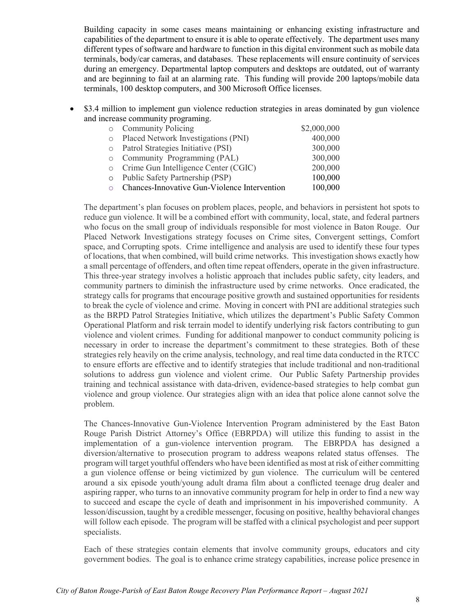Building capacity in some cases means maintaining or enhancing existing infrastructure and capabilities of the department to ensure it is able to operate effectively. The department uses many different types of software and hardware to function in this digital environment such as mobile data terminals, body/car cameras, and databases. These replacements will ensure continuity of services during an emergency. Departmental laptop computers and desktops are outdated, out of warranty and are beginning to fail at an alarming rate. This funding will provide 200 laptops/mobile data terminals, 100 desktop computers, and 300 Microsoft Office licenses.

 \$3.4 million to implement gun violence reduction strategies in areas dominated by gun violence and increase community programing.

| $\circ$ | <b>Community Policing</b>                    | \$2,000,000 |
|---------|----------------------------------------------|-------------|
| $\circ$ | Placed Network Investigations (PNI)          | 400,000     |
|         | o Patrol Strategies Initiative (PSI)         | 300,000     |
| $\circ$ | Community Programming (PAL)                  | 300,000     |
| $\circ$ | Crime Gun Intelligence Center (CGIC)         | 200,000     |
| $\circ$ | Public Safety Partnership (PSP)              | 100,000     |
|         | Chances-Innovative Gun-Violence Intervention | 100,000     |

The department's plan focuses on problem places, people, and behaviors in persistent hot spots to reduce gun violence. It will be a combined effort with community, local, state, and federal partners who focus on the small group of individuals responsible for most violence in Baton Rouge. Our Placed Network Investigations strategy focuses on Crime sites, Convergent settings, Comfort space, and Corrupting spots. Crime intelligence and analysis are used to identify these four types of locations, that when combined, will build crime networks. This investigation shows exactly how a small percentage of offenders, and often time repeat offenders, operate in the given infrastructure. This three-year strategy involves a holistic approach that includes public safety, city leaders, and community partners to diminish the infrastructure used by crime networks. Once eradicated, the strategy calls for programs that encourage positive growth and sustained opportunities for residents to break the cycle of violence and crime. Moving in concert with PNI are additional strategies such as the BRPD Patrol Strategies Initiative, which utilizes the department's Public Safety Common Operational Platform and risk terrain model to identify underlying risk factors contributing to gun violence and violent crimes. Funding for additional manpower to conduct community policing is necessary in order to increase the department's commitment to these strategies. Both of these strategies rely heavily on the crime analysis, technology, and real time data conducted in the RTCC to ensure efforts are effective and to identify strategies that include traditional and non-traditional solutions to address gun violence and violent crime. Our Public Safety Partnership provides training and technical assistance with data-driven, evidence-based strategies to help combat gun violence and group violence. Our strategies align with an idea that police alone cannot solve the problem.

The Chances-Innovative Gun-Violence Intervention Program administered by the East Baton Rouge Parish District Attorney's Office (EBRPDA) will utilize this funding to assist in the implementation of a gun-violence intervention program. The EBRPDA has designed a diversion/alternative to prosecution program to address weapons related status offenses. The program will target youthful offenders who have been identified as most at risk of either committing a gun violence offense or being victimized by gun violence. The curriculum will be centered around a six episode youth/young adult drama film about a conflicted teenage drug dealer and aspiring rapper, who turns to an innovative community program for help in order to find a new way to succeed and escape the cycle of death and imprisonment in his impoverished community. A lesson/discussion, taught by a credible messenger, focusing on positive, healthy behavioral changes will follow each episode. The program will be staffed with a clinical psychologist and peer support specialists.

Each of these strategies contain elements that involve community groups, educators and city government bodies. The goal is to enhance crime strategy capabilities, increase police presence in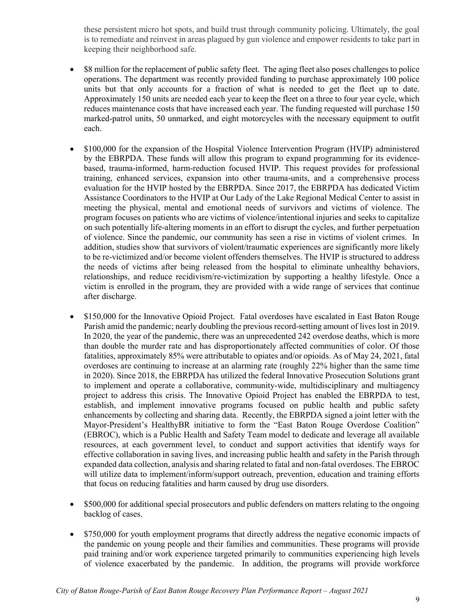these persistent micro hot spots, and build trust through community policing. Ultimately, the goal is to remediate and reinvest in areas plagued by gun violence and empower residents to take part in keeping their neighborhood safe.

- \$8 million for the replacement of public safety fleet. The aging fleet also poses challenges to police operations. The department was recently provided funding to purchase approximately 100 police units but that only accounts for a fraction of what is needed to get the fleet up to date. Approximately 150 units are needed each year to keep the fleet on a three to four year cycle, which reduces maintenance costs that have increased each year. The funding requested will purchase 150 marked-patrol units, 50 unmarked, and eight motorcycles with the necessary equipment to outfit each.
- \$100,000 for the expansion of the Hospital Violence Intervention Program (HVIP) administered by the EBRPDA. These funds will allow this program to expand programming for its evidencebased, trauma-informed, harm-reduction focused HVIP. This request provides for professional training, enhanced services, expansion into other trauma-units, and a comprehensive process evaluation for the HVIP hosted by the EBRPDA. Since 2017, the EBRPDA has dedicated Victim Assistance Coordinators to the HVIP at Our Lady of the Lake Regional Medical Center to assist in meeting the physical, mental and emotional needs of survivors and victims of violence. The program focuses on patients who are victims of violence/intentional injuries and seeks to capitalize on such potentially life-altering moments in an effort to disrupt the cycles, and further perpetuation of violence. Since the pandemic, our community has seen a rise in victims of violent crimes. In addition, studies show that survivors of violent/traumatic experiences are significantly more likely to be re-victimized and/or become violent offenders themselves. The HVIP is structured to address the needs of victims after being released from the hospital to eliminate unhealthy behaviors, relationships, and reduce recidivism/re-victimization by supporting a healthy lifestyle. Once a victim is enrolled in the program, they are provided with a wide range of services that continue after discharge.
- \$150,000 for the Innovative Opioid Project. Fatal overdoses have escalated in East Baton Rouge Parish amid the pandemic; nearly doubling the previous record-setting amount of lives lost in 2019. In 2020, the year of the pandemic, there was an unprecedented 242 overdose deaths, which is more than double the murder rate and has disproportionately affected communities of color. Of those fatalities, approximately 85% were attributable to opiates and/or opioids. As of May 24, 2021, fatal overdoses are continuing to increase at an alarming rate (roughly 22% higher than the same time in 2020). Since 2018, the EBRPDA has utilized the federal Innovative Prosecution Solutions grant to implement and operate a collaborative, community-wide, multidisciplinary and multiagency project to address this crisis. The Innovative Opioid Project has enabled the EBRPDA to test, establish, and implement innovative programs focused on public health and public safety enhancements by collecting and sharing data. Recently, the EBRPDA signed a joint letter with the Mayor-President's HealthyBR initiative to form the "East Baton Rouge Overdose Coalition" (EBROC), which is a Public Health and Safety Team model to dedicate and leverage all available resources, at each government level, to conduct and support activities that identify ways for effective collaboration in saving lives, and increasing public health and safety in the Parish through expanded data collection, analysis and sharing related to fatal and non-fatal overdoses. The EBROC will utilize data to implement/inform/support outreach, prevention, education and training efforts that focus on reducing fatalities and harm caused by drug use disorders.
- \$500,000 for additional special prosecutors and public defenders on matters relating to the ongoing backlog of cases.
- \$750,000 for youth employment programs that directly address the negative economic impacts of the pandemic on young people and their families and communities. These programs will provide paid training and/or work experience targeted primarily to communities experiencing high levels of violence exacerbated by the pandemic. In addition, the programs will provide workforce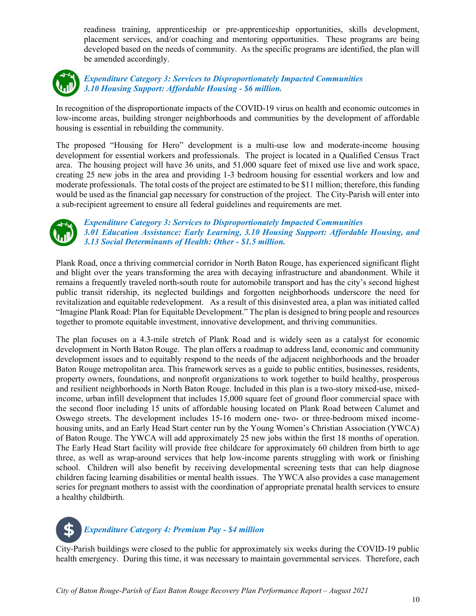readiness training, apprenticeship or pre-apprenticeship opportunities, skills development, placement services, and/or coaching and mentoring opportunities. These programs are being developed based on the needs of community. As the specific programs are identified, the plan will be amended accordingly.

### Expenditure Category 3: Services to Disproportionately Impacted Communities 3.10 Housing Support: Affordable Housing - \$6 million.

In recognition of the disproportionate impacts of the COVID-19 virus on health and economic outcomes in low-income areas, building stronger neighborhoods and communities by the development of affordable housing is essential in rebuilding the community.

The proposed "Housing for Hero" development is a multi-use low and moderate-income housing development for essential workers and professionals. The project is located in a Qualified Census Tract area. The housing project will have 36 units, and 51,000 square feet of mixed use live and work space, creating 25 new jobs in the area and providing 1-3 bedroom housing for essential workers and low and moderate professionals. The total costs of the project are estimated to be \$11 million; therefore, this funding would be used as the financial gap necessary for construction of the project. The City-Parish will enter into a sub-recipient agreement to ensure all federal guidelines and requirements are met.



### Expenditure Category 3: Services to Disproportionately Impacted Communities 3.01 Education Assistance: Early Learning, 3.10 Housing Support: Affordable Housing, and 3.13 Social Determinants of Health: Other - \$1.5 million.

Plank Road, once a thriving commercial corridor in North Baton Rouge, has experienced significant flight and blight over the years transforming the area with decaying infrastructure and abandonment. While it remains a frequently traveled north-south route for automobile transport and has the city's second highest public transit ridership, its neglected buildings and forgotten neighborhoods underscore the need for revitalization and equitable redevelopment. As a result of this disinvested area, a plan was initiated called "Imagine Plank Road: Plan for Equitable Development." The plan is designed to bring people and resources together to promote equitable investment, innovative development, and thriving communities.

The plan focuses on a 4.3-mile stretch of Plank Road and is widely seen as a catalyst for economic development in North Baton Rouge. The plan offers a roadmap to address land, economic and community development issues and to equitably respond to the needs of the adjacent neighborhoods and the broader Baton Rouge metropolitan area. This framework serves as a guide to public entities, businesses, residents, property owners, foundations, and nonprofit organizations to work together to build healthy, prosperous and resilient neighborhoods in North Baton Rouge. Included in this plan is a two-story mixed-use, mixedincome, urban infill development that includes 15,000 square feet of ground floor commercial space with the second floor including 15 units of affordable housing located on Plank Road between Calumet and Oswego streets. The development includes 15-16 modern one- two- or three-bedroom mixed incomehousing units, and an Early Head Start center run by the Young Women's Christian Association (YWCA) of Baton Rouge. The YWCA will add approximately 25 new jobs within the first 18 months of operation. The Early Head Start facility will provide free childcare for approximately 60 children from birth to age three, as well as wrap-around services that help low-income parents struggling with work or finishing school. Children will also benefit by receiving developmental screening tests that can help diagnose children facing learning disabilities or mental health issues. The YWCA also provides a case management series for pregnant mothers to assist with the coordination of appropriate prenatal health services to ensure a healthy childbirth.

# Expenditure Category 4: Premium Pay - \$4 million

City-Parish buildings were closed to the public for approximately six weeks during the COVID-19 public health emergency. During this time, it was necessary to maintain governmental services. Therefore, each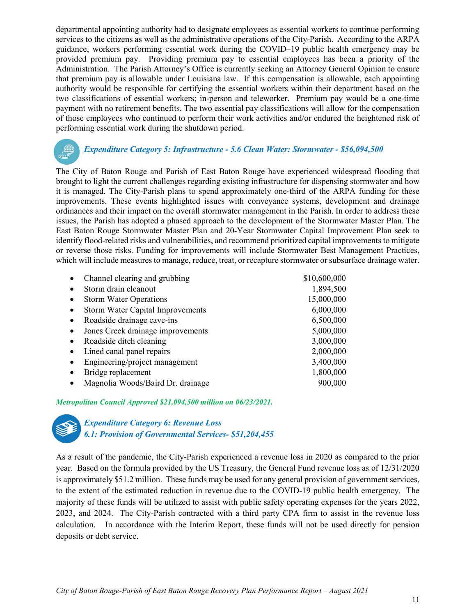departmental appointing authority had to designate employees as essential workers to continue performing services to the citizens as well as the administrative operations of the City-Parish. According to the ARPA guidance, workers performing essential work during the COVID–19 public health emergency may be provided premium pay. Providing premium pay to essential employees has been a priority of the Administration. The Parish Attorney's Office is currently seeking an Attorney General Opinion to ensure that premium pay is allowable under Louisiana law. If this compensation is allowable, each appointing authority would be responsible for certifying the essential workers within their department based on the two classifications of essential workers; in-person and teleworker. Premium pay would be a one-time payment with no retirement benefits. The two essential pay classifications will allow for the compensation of those employees who continued to perform their work activities and/or endured the heightened risk of performing essential work during the shutdown period.

### **Expenditure Category 5: Infrastructure - 5.6 Clean Water: Stormwater - \$56,094,500**

The City of Baton Rouge and Parish of East Baton Rouge have experienced widespread flooding that brought to light the current challenges regarding existing infrastructure for dispensing stormwater and how it is managed. The City-Parish plans to spend approximately one-third of the ARPA funding for these improvements. These events highlighted issues with conveyance systems, development and drainage ordinances and their impact on the overall stormwater management in the Parish. In order to address these issues, the Parish has adopted a phased approach to the development of the Stormwater Master Plan. The East Baton Rouge Stormwater Master Plan and 20-Year Stormwater Capital Improvement Plan seek to identify flood-related risks and vulnerabilities, and recommend prioritized capital improvements to mitigate or reverse those risks. Funding for improvements will include Stormwater Best Management Practices, which will include measures to manage, reduce, treat, or recapture stormwater or subsurface drainage water.

| Channel clearing and grubbing<br>$\bullet$           | \$10,600,000 |
|------------------------------------------------------|--------------|
| Storm drain cleanout                                 | 1,894,500    |
| <b>Storm Water Operations</b><br>$\bullet$           | 15,000,000   |
| <b>Storm Water Capital Improvements</b><br>$\bullet$ | 6,000,000    |
| Roadside drainage cave-ins<br>$\bullet$              | 6,500,000    |
| Jones Creek drainage improvements<br>$\bullet$       | 5,000,000    |
| Roadside ditch cleaning<br>$\bullet$                 | 3,000,000    |
| Lined canal panel repairs<br>$\bullet$               | 2,000,000    |
| Engineering/project management<br>$\bullet$          | 3,400,000    |
| Bridge replacement                                   | 1,800,000    |
| Magnolia Woods/Baird Dr. drainage                    | 900,000      |

### Metropolitan Council Approved \$21,094,500 million on 06/23/2021.



 Expenditure Category 6: Revenue Loss 6.1: Provision of Governmental Services- \$51,204,455

As a result of the pandemic, the City-Parish experienced a revenue loss in 2020 as compared to the prior year. Based on the formula provided by the US Treasury, the General Fund revenue loss as of 12/31/2020 is approximately \$51.2 million. These funds may be used for any general provision of government services, to the extent of the estimated reduction in revenue due to the COVID-19 public health emergency. The majority of these funds will be utilized to assist with public safety operating expenses for the years 2022, 2023, and 2024. The City-Parish contracted with a third party CPA firm to assist in the revenue loss calculation. In accordance with the Interim Report, these funds will not be used directly for pension deposits or debt service.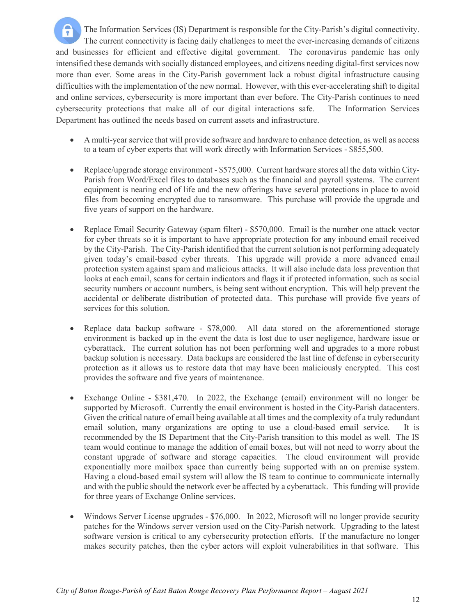The Information Services (IS) Department is responsible for the City-Parish's digital connectivity. The current connectivity is facing daily challenges to meet the ever-increasing demands of citizens and businesses for efficient and effective digital government. The coronavirus pandemic has only intensified these demands with socially distanced employees, and citizens needing digital-first services now more than ever. Some areas in the City-Parish government lack a robust digital infrastructure causing difficulties with the implementation of the new normal. However, with this ever-accelerating shift to digital and online services, cybersecurity is more important than ever before. The City-Parish continues to need cybersecurity protections that make all of our digital interactions safe. The Information Services Department has outlined the needs based on current assets and infrastructure.

- A multi-year service that will provide software and hardware to enhance detection, as well as access to a team of cyber experts that will work directly with Information Services - \$855,500.
- Replace/upgrade storage environment \$575,000. Current hardware stores all the data within City-Parish from Word/Excel files to databases such as the financial and payroll systems. The current equipment is nearing end of life and the new offerings have several protections in place to avoid files from becoming encrypted due to ransomware. This purchase will provide the upgrade and five years of support on the hardware.
- Replace Email Security Gateway (spam filter) \$570,000. Email is the number one attack vector for cyber threats so it is important to have appropriate protection for any inbound email received by the City-Parish. The City-Parish identified that the current solution is not performing adequately given today's email-based cyber threats. This upgrade will provide a more advanced email protection system against spam and malicious attacks. It will also include data loss prevention that looks at each email, scans for certain indicators and flags it if protected information, such as social security numbers or account numbers, is being sent without encryption. This will help prevent the accidental or deliberate distribution of protected data. This purchase will provide five years of services for this solution.
- Replace data backup software \$78,000. All data stored on the aforementioned storage environment is backed up in the event the data is lost due to user negligence, hardware issue or cyberattack. The current solution has not been performing well and upgrades to a more robust backup solution is necessary. Data backups are considered the last line of defense in cybersecurity protection as it allows us to restore data that may have been maliciously encrypted. This cost provides the software and five years of maintenance.
- Exchange Online \$381,470. In 2022, the Exchange (email) environment will no longer be supported by Microsoft. Currently the email environment is hosted in the City-Parish datacenters. Given the critical nature of email being available at all times and the complexity of a truly redundant email solution, many organizations are opting to use a cloud-based email service. It is recommended by the IS Department that the City-Parish transition to this model as well. The IS team would continue to manage the addition of email boxes, but will not need to worry about the constant upgrade of software and storage capacities. The cloud environment will provide exponentially more mailbox space than currently being supported with an on premise system. Having a cloud-based email system will allow the IS team to continue to communicate internally and with the public should the network ever be affected by a cyberattack. This funding will provide for three years of Exchange Online services.
- Windows Server License upgrades \$76,000. In 2022, Microsoft will no longer provide security patches for the Windows server version used on the City-Parish network. Upgrading to the latest software version is critical to any cybersecurity protection efforts. If the manufacture no longer makes security patches, then the cyber actors will exploit vulnerabilities in that software. This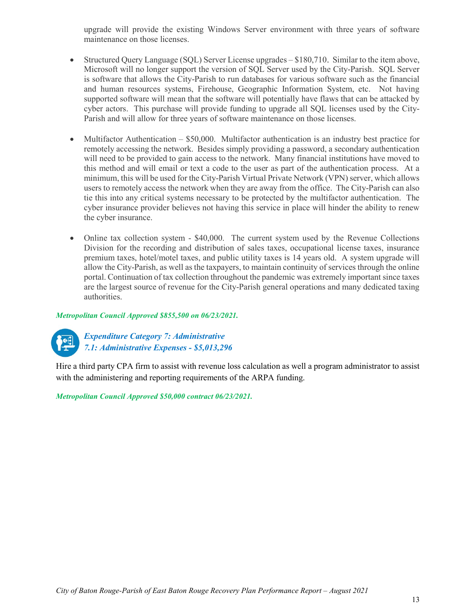upgrade will provide the existing Windows Server environment with three years of software maintenance on those licenses.

- Structured Query Language (SQL) Server License upgrades \$180,710. Similar to the item above, Microsoft will no longer support the version of SQL Server used by the City-Parish. SQL Server is software that allows the City-Parish to run databases for various software such as the financial and human resources systems, Firehouse, Geographic Information System, etc. Not having supported software will mean that the software will potentially have flaws that can be attacked by cyber actors. This purchase will provide funding to upgrade all SQL licenses used by the City-Parish and will allow for three years of software maintenance on those licenses.
- Multifactor Authentication \$50,000. Multifactor authentication is an industry best practice for remotely accessing the network. Besides simply providing a password, a secondary authentication will need to be provided to gain access to the network. Many financial institutions have moved to this method and will email or text a code to the user as part of the authentication process. At a minimum, this will be used for the City-Parish Virtual Private Network (VPN) server, which allows users to remotely access the network when they are away from the office. The City-Parish can also tie this into any critical systems necessary to be protected by the multifactor authentication. The cyber insurance provider believes not having this service in place will hinder the ability to renew the cyber insurance.
- Online tax collection system \$40,000. The current system used by the Revenue Collections Division for the recording and distribution of sales taxes, occupational license taxes, insurance premium taxes, hotel/motel taxes, and public utility taxes is 14 years old. A system upgrade will allow the City-Parish, as well as the taxpayers, to maintain continuity of services through the online portal. Continuation of tax collection throughout the pandemic was extremely important since taxes are the largest source of revenue for the City-Parish general operations and many dedicated taxing authorities.

### Metropolitan Council Approved \$855,500 on 06/23/2021.



 Expenditure Category 7: Administrative 7.1: Administrative Expenses - \$5,013,296

Hire a third party CPA firm to assist with revenue loss calculation as well a program administrator to assist with the administering and reporting requirements of the ARPA funding.

Metropolitan Council Approved \$50,000 contract 06/23/2021.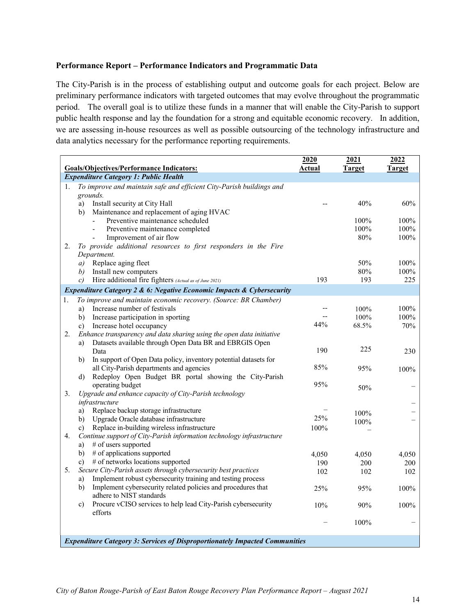### Performance Report – Performance Indicators and Programmatic Data

The City-Parish is in the process of establishing output and outcome goals for each project. Below are preliminary performance indicators with targeted outcomes that may evolve throughout the programmatic period. The overall goal is to utilize these funds in a manner that will enable the City-Parish to support public health response and lay the foundation for a strong and equitable economic recovery. In addition, we are assessing in-house resources as well as possible outsourcing of the technology infrastructure and data analytics necessary for the performance reporting requirements.

|    |                                                                                    | 2020   | 2021          | 2022   |
|----|------------------------------------------------------------------------------------|--------|---------------|--------|
|    | <b>Goals/Objectives/Performance Indicators:</b>                                    | Actual | <b>Target</b> | Target |
|    | <b>Expenditure Category 1: Public Health</b>                                       |        |               |        |
| 1. | To improve and maintain safe and efficient City-Parish buildings and               |        |               |        |
|    | grounds.                                                                           |        |               |        |
|    | Install security at City Hall<br>a)                                                |        | 40%           | 60%    |
|    | Maintenance and replacement of aging HVAC<br>b)                                    |        |               |        |
|    | Preventive maintenance scheduled<br>$\blacksquare$                                 |        | 100%          | 100%   |
|    | Preventive maintenance completed<br>$\equiv$                                       |        | 100%          | 100%   |
|    | Improvement of air flow<br>$\blacksquare$                                          |        | 80%           | 100%   |
| 2. | To provide additional resources to first responders in the Fire                    |        |               |        |
|    | Department.                                                                        |        |               |        |
|    | Replace aging fleet<br>a)                                                          |        | 50%           | 100%   |
|    | Install new computers<br>b)                                                        |        | 80%           | 100%   |
|    | Hire additional fire fighters (Actual as of June 2021)<br>c)                       | 193    | 193           | 225    |
|    | Expenditure Category 2 & 6: Negative Economic Impacts & Cybersecurity              |        |               |        |
| 1. | To improve and maintain economic recovery. (Source: BR Chamber)                    |        |               |        |
|    | Increase number of festivals<br>a)                                                 |        | 100%          | 100%   |
|    | Increase participation in sporting<br>b)                                           |        | 100%          | 100%   |
|    | Increase hotel occupancy<br>c)                                                     | 44%    | 68.5%         | 70%    |
| 2. | Enhance transparency and data sharing using the open data initiative               |        |               |        |
|    | Datasets available through Open Data BR and EBRGIS Open<br>a)                      |        |               |        |
|    | Data                                                                               | 190    | 225           | 230    |
|    | In support of Open Data policy, inventory potential datasets for<br>b)             |        |               |        |
|    | all City-Parish departments and agencies                                           | 85%    | 95%           | 100%   |
|    | Redeploy Open Budget BR portal showing the City-Parish<br>d)                       |        |               |        |
|    | operating budget                                                                   | 95%    | 50%           |        |
| 3. | Upgrade and enhance capacity of City-Parish technology                             |        |               |        |
|    | infrastructure                                                                     |        |               |        |
|    | Replace backup storage infrastructure<br>a)                                        |        | 100%          |        |
|    | Upgrade Oracle database infrastructure<br>b)                                       | 25%    | 100%          |        |
|    | Replace in-building wireless infrastructure<br>$\mathbf{c}$                        | 100%   |               |        |
| 4. | Continue support of City-Parish information technology infrastructure              |        |               |        |
|    | # of users supported<br>a)                                                         |        |               |        |
|    | # of applications supported<br>b)                                                  | 4,050  | 4,050         | 4,050  |
|    | # of networks locations supported<br>$\mathbf{c}$                                  | 190    | 200           | 200    |
| 5. | Secure City-Parish assets through cybersecurity best practices                     | 102    | 102           | 102    |
|    | Implement robust cybersecurity training and testing process<br>a)                  |        |               |        |
|    | Implement cybersecurity related policies and procedures that<br>b)                 | 25%    | 95%           | 100%   |
|    | adhere to NIST standards                                                           |        |               |        |
|    | Procure vCISO services to help lead City-Parish cybersecurity<br>c)                | 10%    | 90%           | 100%   |
|    | efforts                                                                            |        |               |        |
|    |                                                                                    |        | 100%          |        |
|    |                                                                                    |        |               |        |
|    | <b>Expenditure Category 3: Services of Disproportionately Impacted Communities</b> |        |               |        |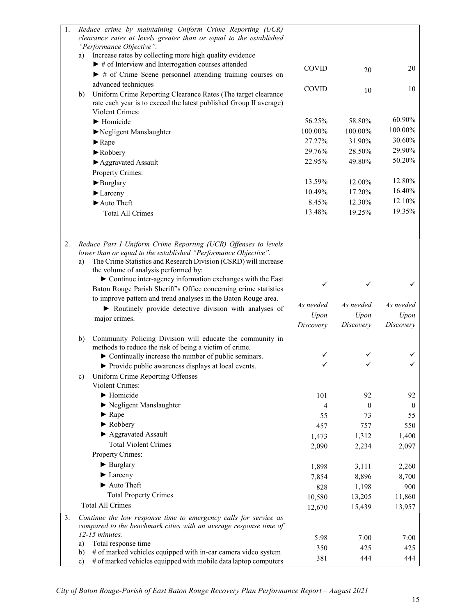| 1. | Reduce crime by maintaining Uniform Crime Reporting (UCR)<br>clearance rates at levels greater than or equal to the established<br>"Performance Objective".                                                                                        |                   |                   |                   |
|----|----------------------------------------------------------------------------------------------------------------------------------------------------------------------------------------------------------------------------------------------------|-------------------|-------------------|-------------------|
|    | Increase rates by collecting more high quality evidence<br>a)                                                                                                                                                                                      |                   |                   |                   |
|    | $\blacktriangleright$ # of Interview and Interrogation courses attended                                                                                                                                                                            | <b>COVID</b>      |                   | 20                |
|    | $\blacktriangleright$ # of Crime Scene personnel attending training courses on<br>advanced techniques                                                                                                                                              |                   | 20                |                   |
|    | Uniform Crime Reporting Clearance Rates (The target clearance<br>$\mathbf{b}$<br>rate each year is to exceed the latest published Group II average)<br><b>Violent Crimes:</b>                                                                      | <b>COVID</b>      | 10                | 10                |
|    | $\blacktriangleright$ Homicide                                                                                                                                                                                                                     | 56.25%            | 58.80%            | 60.90%            |
|    | Negligent Manslaughter                                                                                                                                                                                                                             | 100.00%           | 100.00%           | 100.00%           |
|    | $\blacktriangleright$ Rape                                                                                                                                                                                                                         | 27.27%            | 31.90%            | 30.60%            |
|    | $\blacktriangleright$ Robbery                                                                                                                                                                                                                      | 29.76%            | 28.50%            | 29.90%            |
|    |                                                                                                                                                                                                                                                    | 22.95%            | 49.80%            | 50.20%            |
|    | Aggravated Assault                                                                                                                                                                                                                                 |                   |                   |                   |
|    | Property Crimes:                                                                                                                                                                                                                                   | 13.59%            | 12.00%            | 12.80%            |
|    | Burglary                                                                                                                                                                                                                                           | 10.49%            | 17.20%            | 16.40%            |
|    | $\blacktriangleright$ Larceny                                                                                                                                                                                                                      |                   |                   | 12.10%            |
|    | $\blacktriangleright$ Auto Theft                                                                                                                                                                                                                   | 8.45%             | 12.30%            | 19.35%            |
|    | <b>Total All Crimes</b>                                                                                                                                                                                                                            | 13.48%            | 19.25%            |                   |
| 2. | Reduce Part I Uniform Crime Reporting (UCR) Offenses to levels<br>lower than or equal to the established "Performance Objective".<br>The Crime Statistics and Research Division (CSRD) will increase<br>a)<br>the volume of analysis performed by: |                   |                   |                   |
|    | Continue inter-agency information exchanges with the East<br>Baton Rouge Parish Sheriff's Office concerning crime statistics                                                                                                                       | ✓                 | ✓                 |                   |
|    | to improve pattern and trend analyses in the Baton Rouge area.                                                                                                                                                                                     | As needed         | As needed         | As needed         |
|    | Routinely provide detective division with analyses of                                                                                                                                                                                              |                   |                   |                   |
|    | major crimes.                                                                                                                                                                                                                                      | Upon<br>Discovery | Upon<br>Discovery | Upon<br>Discovery |
|    | Community Policing Division will educate the community in<br>b)<br>methods to reduce the risk of being a victim of crime.                                                                                                                          |                   |                   |                   |
|    | • Continually increase the number of public seminars.                                                                                                                                                                                              | ✓                 |                   |                   |
|    | Provide public awareness displays at local events.                                                                                                                                                                                                 |                   |                   |                   |
|    | Uniform Crime Reporting Offenses<br>c)                                                                                                                                                                                                             |                   |                   |                   |
|    | Violent Crimes:                                                                                                                                                                                                                                    |                   |                   |                   |
|    | $\blacktriangleright$ Homicide                                                                                                                                                                                                                     | 101               | 92                | 92                |
|    | Negligent Manslaughter                                                                                                                                                                                                                             | $\overline{4}$    | $\boldsymbol{0}$  | $\mathbf{0}$      |
|    | $\blacktriangleright$ Rape                                                                                                                                                                                                                         | 55                | 73                | 55                |
|    | $\blacktriangleright$ Robbery                                                                                                                                                                                                                      | 457               | 757               | 550               |
|    | Aggravated Assault                                                                                                                                                                                                                                 | 1,473             | 1,312             | 1,400             |
|    | <b>Total Violent Crimes</b>                                                                                                                                                                                                                        | 2,090             | 2,234             | 2,097             |
|    | Property Crimes:                                                                                                                                                                                                                                   |                   |                   |                   |
|    | $\blacktriangleright$ Burglary                                                                                                                                                                                                                     | 1,898             | 3,111             | 2,260             |
|    | $\blacktriangleright$ Larceny                                                                                                                                                                                                                      | 7,854             | 8,896             | 8,700             |
|    | Auto Theft                                                                                                                                                                                                                                         | 828               | 1,198             | 900               |
|    | <b>Total Property Crimes</b>                                                                                                                                                                                                                       | 10,580            | 13,205            | 11,860            |
|    | <b>Total All Crimes</b>                                                                                                                                                                                                                            | 12,670            | 15,439            | 13,957            |
| 3. | Continue the low response time to emergency calls for service as<br>compared to the benchmark cities with an average response time of                                                                                                              |                   |                   |                   |
|    | 12-15 minutes.                                                                                                                                                                                                                                     | 5:98              | 7:00              | 7:00              |
|    | Total response time<br>a)                                                                                                                                                                                                                          | 350               | 425               | 425               |
|    | # of marked vehicles equipped with in-car camera video system<br>b)                                                                                                                                                                                | 381               | 444               | 444               |
|    | # of marked vehicles equipped with mobile data laptop computers<br>$\mathbf{c}$                                                                                                                                                                    |                   |                   |                   |